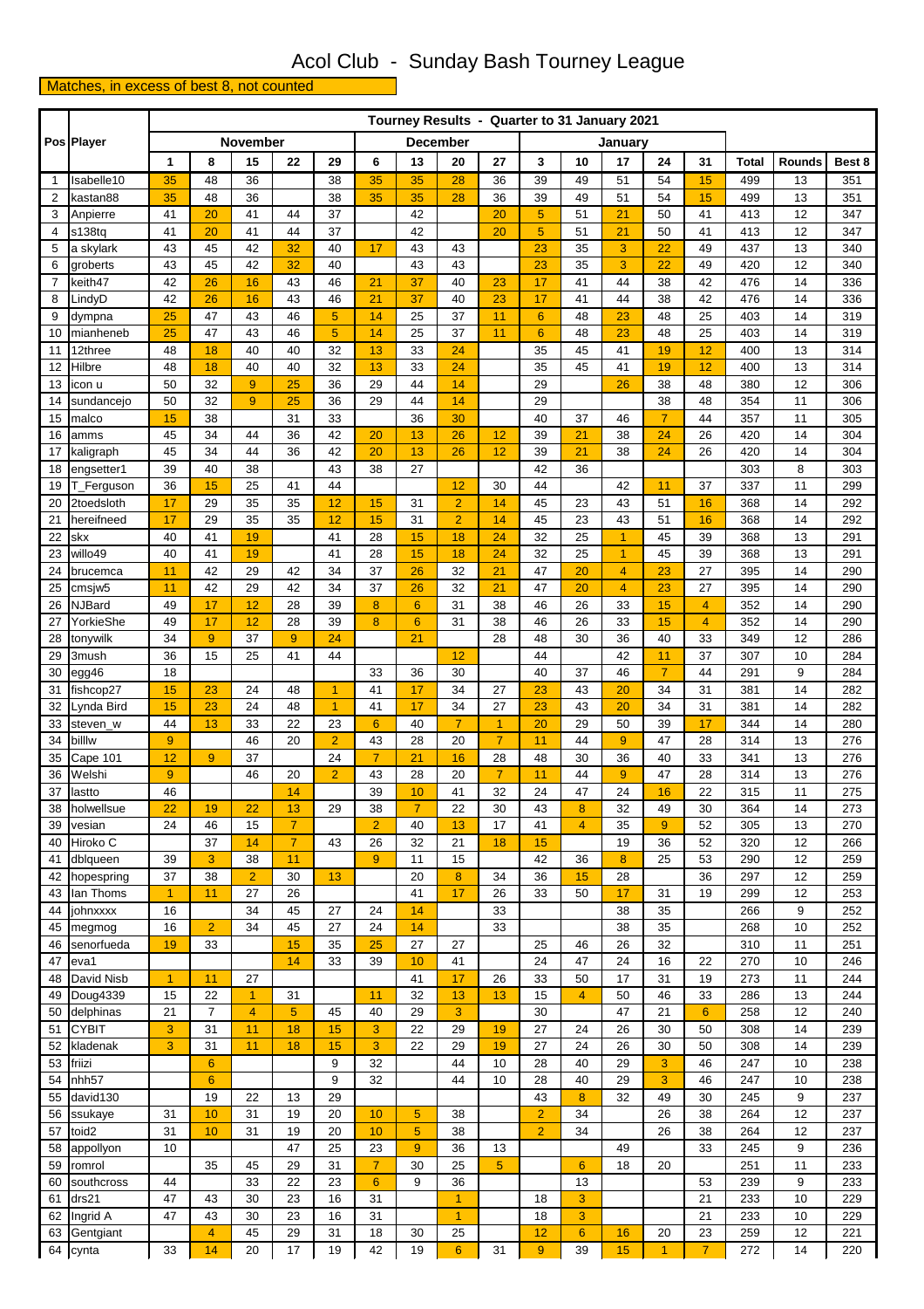## Acol Club - Sunday Bash Tourney League

## Matches, in excess of best 8, not counted

|                |                        |                      | Tourney Results - Quarter to 31 January 2021 |                    |                  |                |                 |                 |                            |                      |                       |                       |                     |                |                |              |                 |            |
|----------------|------------------------|----------------------|----------------------------------------------|--------------------|------------------|----------------|-----------------|-----------------|----------------------------|----------------------|-----------------------|-----------------------|---------------------|----------------|----------------|--------------|-----------------|------------|
|                | Pos Player             |                      |                                              | November           |                  |                | <b>December</b> |                 |                            |                      |                       |                       | January             |                |                |              |                 |            |
|                |                        | 1                    | 8                                            | 15                 | 22               | 29             | 6               | 13              | 20                         | 27                   | 3                     | 10                    | 17                  | 24             | 31             | <b>Total</b> | <b>Rounds</b>   | Best 8     |
| $\mathbf{1}$   | Isabelle10             | 35                   | 48                                           | 36                 |                  | 38             | 35              | 35              | 28                         | 36                   | 39                    | 49                    | 51                  | 54             | 15             | 499          | 13              | 351        |
| $\overline{2}$ | kastan88               | 35                   | 48                                           | 36                 |                  | 38             | 35              | 35              | 28                         | 36                   | 39                    | 49                    | 51                  | 54             | 15             | 499          | 13              | 351        |
| 3              | Anpierre               | 41                   | 20                                           | 41                 | 44               | 37             |                 | 42              |                            | 20                   | 5                     | 51                    | 21                  | 50             | 41             | 413          | 12              | 347        |
| 4              | s138tq                 | 41                   | 20                                           | 41                 | 44               | 37             |                 | 42              |                            | 20                   | $\overline{5}$        | 51                    | 21                  | 50             | 41             | 413          | 12              | 347        |
| 5              | a skylark              | 43                   | 45                                           | 42                 | 32               | 40             | 17              | 43              | 43                         |                      | 23                    | 35                    | 3                   | 22             | 49             | 437          | 13              | 340        |
| 6              | groberts               | 43                   | 45                                           | 42                 | 32               | 40             |                 | 43              | 43                         |                      | 23                    | 35                    | 3                   | 22             | 49             | 420          | $\overline{12}$ | 340        |
| 7              | keith47                | 42                   | 26                                           | 16                 | 43               | 46             | 21              | 37              | 40                         | 23                   | 17                    | 41                    | 44                  | 38             | 42             | 476          | 14              | 336        |
| 8              | LindyD                 | 42                   | 26                                           | 16                 | 43               | 46             | 21              | 37              | 40                         | 23                   | 17                    | 41                    | 44                  | 38             | 42             | 476          | 14              | 336        |
| 9              | dympna                 | 25<br>25             | 47<br>47                                     | 43<br>43           | 46<br>46         | 5<br>5         | 14<br>14        | 25<br>25        | 37<br>37                   | 11<br>11             | $6\phantom{1}$        | 48<br>48              | 23<br>23            | 48<br>48       | 25<br>25       | 403<br>403   | 14<br>14        | 319<br>319 |
| 10<br>11       | mianheneb<br>12three   | 48                   | 18                                           | 40                 | 40               | 32             | 13              | 33              | 24                         |                      | $6\phantom{1}6$<br>35 | 45                    | 41                  | 19             | 12             | 400          | 13              | 314        |
| 12             | Hilbre                 | 48                   | 18                                           | 40                 | 40               | 32             | 13              | 33              | 24                         |                      | 35                    | 45                    | 41                  | 19             | 12             | 400          | 13              | 314        |
| 13             | icon u                 | 50                   | 32                                           | 9                  | 25               | 36             | 29              | 44              | 14                         |                      | 29                    |                       | 26                  | 38             | 48             | 380          | 12              | 306        |
| 14             | sundancejo             | 50                   | 32                                           | 9                  | 25               | 36             | 29              | 44              | 14                         |                      | 29                    |                       |                     | 38             | 48             | 354          | 11              | 306        |
| 15             | malco                  | 15                   | 38                                           |                    | 31               | 33             |                 | 36              | 30                         |                      | 40                    | 37                    | 46                  | $\overline{7}$ | 44             | 357          | 11              | 305        |
| 16             | amms                   | 45                   | 34                                           | 44                 | 36               | 42             | 20              | 13              | 26                         | 12                   | 39                    | 21                    | 38                  | 24             | 26             | 420          | 14              | 304        |
| 17             | kaligraph              | 45                   | 34                                           | 44                 | 36               | 42             | 20              | 13              | 26                         | 12                   | 39                    | 21                    | 38                  | 24             | 26             | 420          | 14              | 304        |
| 18             | engsetter1             | 39                   | 40                                           | 38                 |                  | 43             | 38              | 27              |                            |                      | 42                    | 36                    |                     |                |                | 303          | 8               | 303        |
| 19             | T_Ferguson             | 36                   | 15                                           | 25                 | 41               | 44             |                 |                 | 12                         | 30                   | 44                    |                       | 42                  | 11             | 37             | 337          | 11              | 299        |
| 20             | 2toedsloth             | 17                   | 29                                           | 35                 | 35               | 12             | 15              | 31              | $\overline{2}$             | 14                   | 45                    | 23                    | 43                  | 51             | 16             | 368          | 14              | 292        |
| 21             | hereifneed             | 17                   | 29                                           | 35                 | 35               | 12             | 15              | 31              | $\overline{2}$             | 14                   | 45                    | 23                    | 43                  | 51             | 16             | 368          | 14              | 292        |
| 22             | skx                    | 40                   | 41                                           | 19                 |                  | 41             | 28              | 15              | 18                         | 24                   | 32                    | 25                    | $\mathbf{1}$        | 45             | 39             | 368          | 13              | 291        |
| 23<br>24       | willo49<br>brucemca    | 40<br>11             | 41<br>42                                     | 19<br>29           | 42               | 41<br>34       | 28<br>37        | 15<br>26        | 18<br>32                   | 24<br>21             | 32<br>47              | 25<br>20              | $\overline{1}$<br>4 | 45<br>23       | 39<br>27       | 368<br>395   | 13<br>14        | 291<br>290 |
| 25             | cmsjw <sub>5</sub>     | 11                   | 42                                           | 29                 | 42               | 34             | 37              | 26              | 32                         | 21                   | 47                    | 20                    | $\overline{4}$      | 23             | 27             | 395          | 14              | 290        |
| 26             | <b>NJBard</b>          | 49                   | 17                                           | 12                 | 28               | 39             | 8               | $6\phantom{1}6$ | 31                         | 38                   | 46                    | 26                    | 33                  | 15             | $\overline{4}$ | 352          | 14              | 290        |
| 27             | YorkieShe              | 49                   | 17                                           | 12                 | 28               | 39             | 8               | $6\phantom{1}6$ | 31                         | 38                   | 46                    | 26                    | 33                  | 15             | $\overline{4}$ | 352          | 14              | 290        |
| 28             | tonywilk               | 34                   | 9                                            | 37                 | $\boldsymbol{9}$ | 24             |                 | 21              |                            | 28                   | 48                    | 30                    | 36                  | 40             | 33             | 349          | 12              | 286        |
| 29             | 3mush                  | 36                   | 15                                           | 25                 | 41               | 44             |                 |                 | 12                         |                      | 44                    |                       | 42                  | 11             | 37             | 307          | 10              | 284        |
| 30             | egg46                  | 18                   |                                              |                    |                  |                | 33              | 36              | 30                         |                      | 40                    | 37                    | 46                  | $\overline{7}$ | 44             | 291          | 9               | 284        |
| 31             | fishcop27              | 15                   | 23                                           | 24                 | 48               | 1              | 41              | 17              | 34                         | 27                   | 23                    | 43                    | 20                  | 34             | 31             | 381          | 14              | 282        |
| 32             | vnda Bird.             | 15                   | 23                                           | 24                 | 48               | 1              | 41              | 17              | 34                         | 27                   | 23                    | 43                    | 20                  | 34             | 31             | 381          | 14              | 282        |
| 33             | steven w               | 44                   | 13                                           | 33                 | 22               | 23             | $6\phantom{1}$  | 40              | $\overline{7}$             | $\overline{1}$       | 20                    | 29                    | 50                  | 39             | 17             | 344          | 14              | 280        |
| 34             | billw                  | 9                    |                                              | 46                 | 20               | $\overline{c}$ | 43              | 28              | 20                         | $\overline{7}$       | 11                    | 44                    | 9                   | 47             | 28             | 314          | 13              | 276        |
| 35             | Cape 101               | 12                   | 9                                            | 37                 |                  | 24             | $\overline{7}$  | 21              | 16                         | 28                   | 48                    | 30                    | 36                  | 40             | 33             | 341          | 13              | 276        |
| 36<br>37       | Welshi<br>lastto       | $\overline{9}$<br>46 |                                              | 46                 | 20<br>14         | $\overline{2}$ | 43<br>39        | 28<br>10        | 20<br>41                   | $\overline{7}$<br>32 | 11<br>24              | 44<br>47              | 9<br>24             | 47<br>16       | 28<br>22       | 314<br>315   | 13<br>11        | 276<br>275 |
| 38             | holwellsue             | 22                   | 19                                           | 22                 | 13               | 29             | 38              | $\overline{7}$  | 22                         | 30                   | 43                    | 8                     | 32                  | 49             | 30             | 364          | 14              | 273        |
| 39             | vesian                 | 24                   | 46                                           | 15                 | $\overline{7}$   |                | $\overline{2}$  | 40              | 13                         | 17                   | 41                    | $\overline{4}$        | 35                  | $\overline{9}$ | 52             | 305          | 13              | 270        |
| 40             | Hiroko C               |                      | 37                                           | 14                 | $\overline{7}$   | 43             | 26              | 32              | 21                         | 18                   | 15                    |                       | 19                  | 36             | 52             | 320          | 12              | 266        |
| 41             | dblqueen               | 39                   | 3                                            | 38                 | 11               |                | 9               | 11              | 15                         |                      | 42                    | 36                    | $\boldsymbol{8}$    | 25             | 53             | 290          | 12              | 259        |
| 42             | hopespring             | 37                   | 38                                           | $\overline{2}$     | 30               | 13             |                 | 20              | 8                          | 34                   | 36                    | 15                    | 28                  |                | 36             | 297          | 12              | 259        |
| 43             | lan Thoms              | $\overline{1}$       | 11                                           | 27                 | 26               |                |                 | 41              | 17                         | 26                   | 33                    | 50                    | 17                  | 31             | 19             | 299          | 12              | 253        |
| 44             | johnxxxx               | 16                   |                                              | 34                 | 45               | 27             | 24              | 14              |                            | 33                   |                       |                       | 38                  | 35             |                | 266          | 9               | 252        |
| 45             | megmog                 | 16                   | $\overline{2}$                               | 34                 | 45               | 27             | 24              | 14              |                            | 33                   |                       |                       | 38                  | 35             |                | 268          | 10              | 252        |
| 46             | senorfueda             | 19                   | 33                                           |                    | 15               | 35             | 25              | 27              | 27                         |                      | 25                    | 46                    | 26                  | 32             |                | 310          | 11              | 251        |
| 47             | eva1                   |                      |                                              |                    | 14               | 33             | 39              | 10              | 41                         |                      | 24                    | 47                    | 24                  | 16             | 22             | 270          | 10              | 246        |
| 48<br>49       | David Nisb<br>Doug4339 | $\overline{1}$<br>15 | 11<br>22                                     | 27<br>$\mathbf{1}$ | 31               |                | 11              | 41<br>32        | 17<br>13                   | 26<br>13             | 33<br>15              | 50<br>$\overline{4}$  | 17<br>50            | 31<br>46       | 19<br>33       | 273<br>286   | 11<br>13        | 244<br>244 |
| 50             | delphinas              | 21                   | $\overline{7}$                               | $\overline{4}$     | 5                | 45             | 40              | 29              | 3                          |                      | 30                    |                       | 47                  | 21             | $6\phantom{1}$ | 258          | 12              | 240        |
| 51             | <b>CYBIT</b>           | 3                    | 31                                           | 11                 | 18               | 15             | 3               | 22              | 29                         | 19                   | 27                    | 24                    | 26                  | 30             | 50             | 308          | 14              | 239        |
| 52             | kladenak               | 3                    | 31                                           | 11                 | 18               | 15             | 3               | 22              | 29                         | 19                   | 27                    | 24                    | 26                  | 30             | 50             | 308          | 14              | 239        |
| 53             | friizi                 |                      | $6\phantom{1}$                               |                    |                  | 9              | 32              |                 | 44                         | 10                   | 28                    | 40                    | 29                  | 3              | 46             | 247          | 10              | 238        |
| 54             | nhh <sub>57</sub>      |                      | 6                                            |                    |                  | 9              | 32              |                 | 44                         | 10                   | 28                    | 40                    | 29                  | 3              | 46             | 247          | 10              | 238        |
| 55             | david130               |                      | 19                                           | 22                 | 13               | 29             |                 |                 |                            |                      | 43                    | $\boldsymbol{8}$      | 32                  | 49             | 30             | 245          | 9               | 237        |
| 56             | ssukaye                | 31                   | 10                                           | 31                 | 19               | 20             | 10              | 5               | 38                         |                      | $\overline{2}$        | 34                    |                     | 26             | 38             | 264          | 12              | 237        |
| 57             | toid2                  | 31                   | 10                                           | 31                 | 19               | 20             | 10              | 5               | 38                         |                      | $\overline{2}$        | 34                    |                     | 26             | 38             | 264          | 12              | 237        |
| 58             | appollyon              | 10                   |                                              |                    | 47               | 25             | 23              | 9               | 36                         | 13                   |                       |                       | 49                  |                | 33             | 245          | 9               | 236        |
| 59             | romrol                 |                      | 35                                           | 45                 | 29               | 31             | $\overline{7}$  | 30              | 25                         | 5 <sup>5</sup>       |                       | $\boldsymbol{6}$      | 18                  | 20             |                | 251          | 11              | 233        |
| 60             | southcross             | 44                   |                                              | 33                 | 22               | 23             | $6\phantom{1}$  | 9               | 36                         |                      |                       | 13                    |                     |                | 53             | 239          | 9               | 233        |
| 61             | drs21                  | 47                   | 43                                           | 30                 | 23               | 16             | 31              |                 | $\mathbf{1}$               |                      | 18                    | 3                     |                     |                | 21             | 233          | 10              | 229        |
| 62<br>63       | Ingrid A<br>Gentgiant  | 47                   | 43<br>4                                      | 30<br>45           | 23<br>29         | 16<br>31       | 31<br>18        | 30              | $\blacktriangleleft$<br>25 |                      | 18<br>12              | 3<br>$\boldsymbol{6}$ | 16                  | 20             | 21<br>23       | 233<br>259   | 10<br>12        | 229<br>221 |
|                | 64 cynta               | 33                   | 14                                           | 20                 | 17               | 19             | 42              | 19              | 6                          | 31                   | 9                     | 39                    | 15                  | $\overline{1}$ | $\overline{7}$ | 272          | 14              | 220        |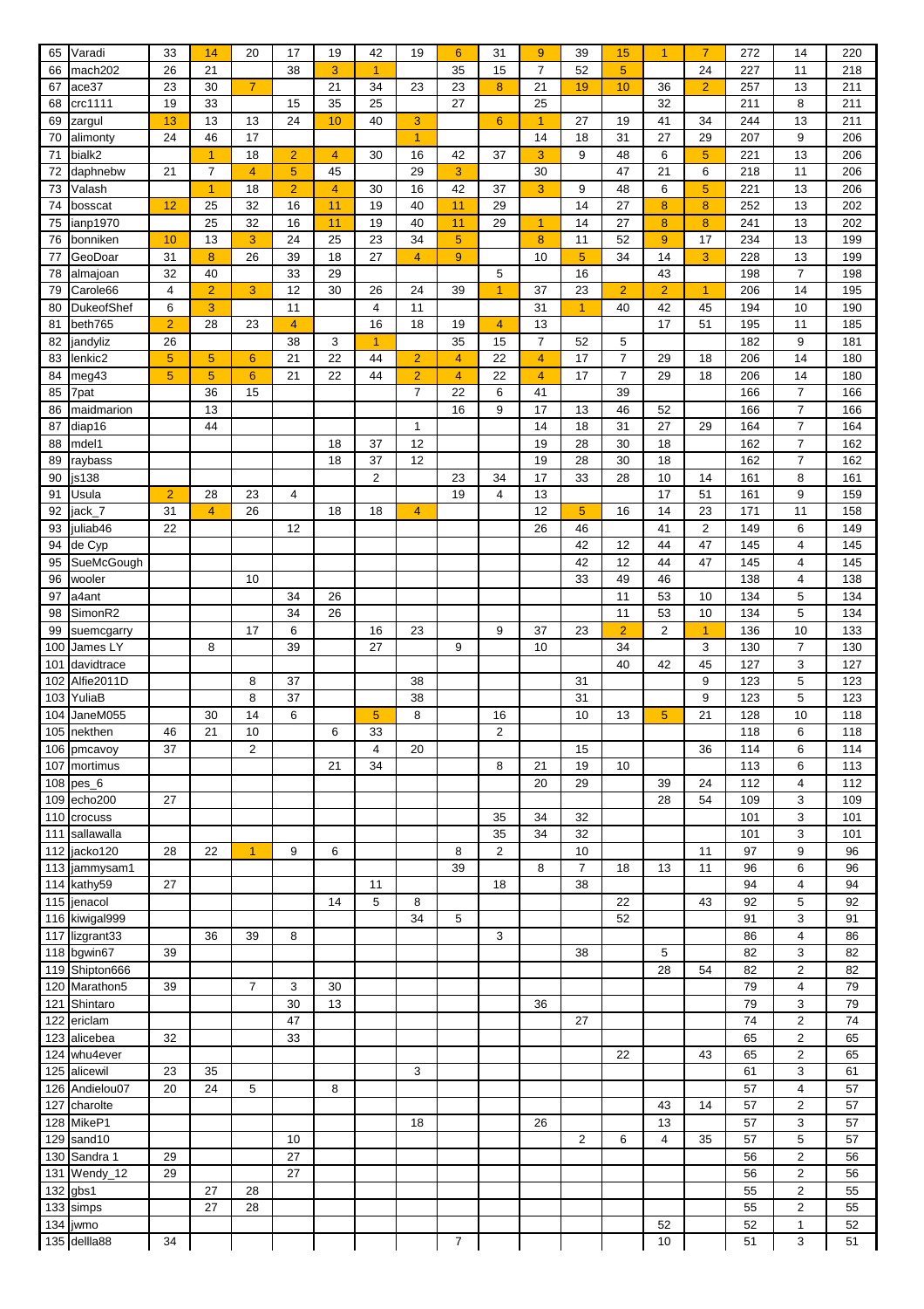| 65  | Varadi         | 33             | 14             | 20                   | 17              | 19                      | 42 | 19              | 6                | 31             | $9\,$            | 39             | 15             | $\overline{1}$ | $\overline{7}$ | 272 | 14                      | 220 |
|-----|----------------|----------------|----------------|----------------------|-----------------|-------------------------|----|-----------------|------------------|----------------|------------------|----------------|----------------|----------------|----------------|-----|-------------------------|-----|
| 66  | mach202        | 26             | 21             |                      | 38              | 3                       | 1  |                 | 35               | 15             | $\overline{7}$   | 52             | 5              |                | 24             | 227 | 11                      | 218 |
| 67  | ace37          | 23             | 30             | $\overline{7}$       |                 | $\overline{21}$         | 34 | 23              | 23               | 8              | $\overline{21}$  | 19             | 10             | 36             | $\overline{2}$ | 257 | 13                      | 211 |
| 68  | crc1111        | 19             | 33             |                      | 15              | 35                      | 25 |                 | 27               |                | 25               |                |                | 32             |                | 211 | 8                       | 211 |
|     |                |                | 13             | 13                   | 24              | 10                      | 40 | 3               |                  | 6              |                  | 27             | 19             | 41             | 34             | 244 | 13                      |     |
| 69  | zargul         | 13             |                |                      |                 |                         |    |                 |                  |                | $\mathbf{1}$     |                |                |                |                |     |                         | 211 |
| 70  | alimonty       | 24             | 46             | 17                   |                 |                         |    | $\overline{1}$  |                  |                | 14               | 18             | 31             | 27             | 29             | 207 | 9                       | 206 |
| 71  | bialk2         |                | $\overline{1}$ | 18                   | $\overline{2}$  | $\overline{4}$          | 30 | 16              | 42               | 37             | 3                | 9              | 48             | 6              | 5              | 221 | 13                      | 206 |
| 72  | daphnebw       | 21             | 7              | $\overline{4}$       | 5               | 45                      |    | 29              | 3                |                | 30               |                | 47             | 21             | 6              | 218 | 11                      | 206 |
| 73  | Valash         |                | $\overline{1}$ | 18                   | $\overline{2}$  | $\overline{\mathbf{4}}$ | 30 | 16              | 42               | 37             | 3                | 9              | 48             | 6              | $\sqrt{5}$     | 221 | 13                      | 206 |
| 74  | bosscat        | 12             | 25             | 32                   | 16              | 11                      | 19 | 40              | 11               | 29             |                  | 14             | 27             | 8              | 8              | 252 | 13                      | 202 |
| 75  | ianp1970       |                | 25             | 32                   | 16              | 11                      | 19 | 40              | 11               | 29             | $\overline{1}$   | 14             | 27             | 8              | 8              | 241 | 13                      | 202 |
| 76  | bonniken       | 10             | 13             | 3                    | 24              | 25                      | 23 | 34              | $5\phantom{1}$   |                | $\boldsymbol{8}$ | 11             | 52             | 9              | 17             | 234 | 13                      | 199 |
| 77  | GeoDoar        | 31             | 8              | 26                   | 39              | 18                      | 27 | $\overline{4}$  | $\boldsymbol{9}$ |                | 10               | $\overline{5}$ | 34             | 14             | 3              | 228 | 13                      | 199 |
| 78  | almajoan       | 32             | 40             |                      | 33              | 29                      |    |                 |                  | 5              |                  | 16             |                | 43             |                | 198 | $\overline{7}$          | 198 |
|     |                |                |                |                      |                 |                         |    |                 |                  |                |                  |                |                |                |                |     |                         |     |
| 79  | Carole66       | $\overline{4}$ | $\overline{2}$ | 3                    | 12              | 30                      | 26 | 24              | 39               | $\overline{1}$ | 37               | 23             | $\overline{2}$ | $\overline{2}$ | $\overline{1}$ | 206 | 14                      | 195 |
| 80  | DukeofShef     | 6              | 3              |                      | 11              |                         | 4  | 11              |                  |                | 31               | $\mathbf{1}$   | 40             | 42             | 45             | 194 | 10                      | 190 |
| 81  | beth765        | $\overline{2}$ | 28             | 23                   | $\overline{4}$  |                         | 16 | 18              | 19               | $\overline{4}$ | 13               |                |                | 17             | 51             | 195 | 11                      | 185 |
| 82  | jandyliz       | 26             |                |                      | 38              | 3                       | 1  |                 | 35               | 15             | $\overline{7}$   | 52             | 5              |                |                | 182 | 9                       | 181 |
| 83  | lenkic2        | 5              | $\sqrt{5}$     | $6\phantom{1}6$      | 21              | $\overline{22}$         | 44 | $\overline{2}$  | 4                | 22             | $\overline{4}$   | 17             | $\overline{7}$ | 29             | 18             | 206 | 14                      | 180 |
| 84  | meg43          | 5              | $\sqrt{5}$     | $6\phantom{1}6$      | 21              | 22                      | 44 | $\overline{2}$  | 4                | 22             | 4                | 17             | $\overline{7}$ | 29             | 18             | 206 | 14                      | 180 |
| 85  | 7pat           |                | 36             | 15                   |                 |                         |    | $\overline{7}$  | 22               | 6              | 41               |                | 39             |                |                | 166 | $\overline{7}$          | 166 |
| 86  | maidmarion     |                | 13             |                      |                 |                         |    |                 | 16               | 9              | 17               | 13             | 46             | 52             |                | 166 | $\overline{7}$          | 166 |
|     |                |                |                |                      |                 |                         |    |                 |                  |                |                  |                |                |                |                |     |                         |     |
| 87  | diap16         |                | 44             |                      |                 |                         |    | $\mathbf{1}$    |                  |                | 14               | 18             | 31             | 27             | 29             | 164 | $\overline{7}$          | 164 |
| 88  | mdel1          |                |                |                      |                 | 18                      | 37 | 12              |                  |                | 19               | 28             | 30             | 18             |                | 162 | $\overline{7}$          | 162 |
| 89  | raybass        |                |                |                      |                 | 18                      | 37 | 12              |                  |                | 19               | 28             | 30             | 18             |                | 162 | $\overline{7}$          | 162 |
| 90  | js138          |                |                |                      |                 |                         | 2  |                 | 23               | 34             | 17               | 33             | 28             | 10             | 14             | 161 | 8                       | 161 |
| 91  | Usula          | $\overline{2}$ | 28             | 23                   | $\overline{4}$  |                         |    |                 | 19               | $\overline{4}$ | 13               |                |                | 17             | 51             | 161 | 9                       | 159 |
| 92  | jack_7         | 31             | $\overline{4}$ | 26                   |                 | 18                      | 18 | $\overline{4}$  |                  |                | 12               | $\sqrt{5}$     | 16             | 14             | 23             | 171 | 11                      | 158 |
| 93  | juliab46       | 22             |                |                      | 12              |                         |    |                 |                  |                | 26               | 46             |                | 41             | 2              | 149 | 6                       | 149 |
| 94  | de Cyp         |                |                |                      |                 |                         |    |                 |                  |                |                  | 42             | 12             | 44             | 47             | 145 | 4                       | 145 |
| 95  | SueMcGough     |                |                |                      |                 |                         |    |                 |                  |                |                  | 42             | 12             | 44             | 47             | 145 | 4                       | 145 |
|     |                |                |                |                      |                 |                         |    |                 |                  |                |                  |                |                |                |                |     |                         |     |
| 96  | wooler         |                |                | 10                   |                 |                         |    |                 |                  |                |                  | 33             | 49             | 46             |                | 138 | 4                       | 138 |
| 97  | a4ant          |                |                |                      | 34              | 26                      |    |                 |                  |                |                  |                | 11             | 53             | 10             | 134 | 5                       | 134 |
| 98  | SimonR2        |                |                |                      | 34              | 26                      |    |                 |                  |                |                  |                | 11             | 53             | 10             | 134 | 5                       | 134 |
| 99  | suemcgarry     |                |                | 17                   | 6               |                         | 16 | 23              |                  | 9              | 37               | 23             | $\overline{2}$ | $\overline{c}$ | $\overline{1}$ | 136 | 10                      | 133 |
| 100 | James LY       |                | 8              |                      | 39              |                         | 27 |                 | 9                |                | 10               |                | 34             |                | 3              | 130 | $\overline{7}$          | 130 |
| 101 | davidtrace     |                |                |                      |                 |                         |    |                 |                  |                |                  |                | 40             | 42             | 45             | 127 | 3                       | 127 |
| 102 | Alfie2011D     |                |                | 8                    | 37              |                         |    | 38              |                  |                |                  | 31             |                |                | 9              | 123 | 5                       | 123 |
| 103 | YuliaB         |                |                | 8                    | $\overline{37}$ |                         |    | $\overline{38}$ |                  |                |                  | 31             |                |                | 9              | 123 | 5                       | 123 |
|     |                |                |                |                      |                 |                         |    |                 |                  |                |                  |                |                |                |                |     |                         |     |
| 104 | JaneM055       |                | 30             | 14                   | 6               |                         | 5  | 8               |                  | 16             |                  | 10             | 13             | 5              | 21             | 128 | 10                      | 118 |
| 105 | nekthen        | 46             | 21             | 10                   |                 | 6                       | 33 |                 |                  | $\overline{2}$ |                  |                |                |                |                | 118 | 6                       | 118 |
| 106 | pmcavoy        | 37             |                | $\overline{a}$       |                 |                         | 4  | 20              |                  |                |                  | 15             |                |                | 36             | 114 | 6                       | 114 |
| 107 | mortimus       |                |                |                      |                 | 21                      | 34 |                 |                  | 8              | 21               | 19             | 10             |                |                | 113 | 6                       | 113 |
| 108 | pes 6          |                |                |                      |                 |                         |    |                 |                  |                | 20               | 29             |                | 39             | 24             | 112 | 4                       | 112 |
| 109 | echo200        | 27             |                |                      |                 |                         |    |                 |                  |                |                  |                |                | 28             | 54             | 109 | 3                       | 109 |
| 110 | crocuss        |                |                |                      |                 |                         |    |                 |                  | 35             | 34               | 32             |                |                |                | 101 | 3                       | 101 |
| 111 | sallawalla     |                |                |                      |                 |                         |    |                 |                  | 35             | 34               | 32             |                |                |                | 101 | 3                       | 101 |
|     | jacko120       | 28             | 22             |                      | 9               |                         |    |                 |                  | 2              |                  |                |                |                |                | 97  |                         |     |
| 112 |                |                |                | $\blacktriangleleft$ |                 | 6                       |    |                 | 8                |                |                  | 10             |                |                | 11             |     | 9                       | 96  |
| 113 | jammysam1      |                |                |                      |                 |                         |    |                 | 39               |                | 8                | $\overline{7}$ | 18             | 13             | 11             | 96  | 6                       | 96  |
|     | 114 kathy59    | 27             |                |                      |                 |                         | 11 |                 |                  | 18             |                  | 38             |                |                |                | 94  | 4                       | 94  |
| 115 | jenacol        |                |                |                      |                 | 14                      | 5  | 8               |                  |                |                  |                | 22             |                | 43             | 92  | 5                       | 92  |
|     | 116 kiwigal999 |                |                |                      |                 |                         |    | 34              | 5                |                |                  |                | 52             |                |                | 91  | 3                       | 91  |
|     | 117 lizgrant33 |                | 36             | 39                   | 8               |                         |    |                 |                  | 3              |                  |                |                |                |                | 86  | 4                       | 86  |
|     | 118 bgwin67    | 39             |                |                      |                 |                         |    |                 |                  |                |                  | 38             |                | 5              |                | 82  | 3                       | 82  |
| 119 | Shipton666     |                |                |                      |                 |                         |    |                 |                  |                |                  |                |                | 28             | 54             | 82  | $\overline{c}$          | 82  |
| 120 | Marathon5      | 39             |                | $\overline{7}$       | 3               | 30                      |    |                 |                  |                |                  |                |                |                |                | 79  | 4                       | 79  |
|     |                |                |                |                      |                 |                         |    |                 |                  |                |                  |                |                |                |                |     |                         |     |
| 121 | Shintaro       |                |                |                      | 30              | 13                      |    |                 |                  |                | 36               |                |                |                |                | 79  | 3                       | 79  |
| 122 | ericlam        |                |                |                      | 47              |                         |    |                 |                  |                |                  | 27             |                |                |                | 74  | $\overline{\mathbf{c}}$ | 74  |
| 123 | alicebea       | 32             |                |                      | 33              |                         |    |                 |                  |                |                  |                |                |                |                | 65  | 2                       | 65  |
| 124 | whu4ever       |                |                |                      |                 |                         |    |                 |                  |                |                  |                | 22             |                | 43             | 65  | $\overline{2}$          | 65  |
| 125 | alicewil       | 23             | 35             |                      |                 |                         |    | 3               |                  |                |                  |                |                |                |                | 61  | 3                       | 61  |
| 126 | Andielou07     | 20             | 24             | 5                    |                 | 8                       |    |                 |                  |                |                  |                |                |                |                | 57  | 4                       | 57  |
| 127 | charolte       |                |                |                      |                 |                         |    |                 |                  |                |                  |                |                | 43             | 14             | 57  | 2                       | 57  |
| 128 | MikeP1         |                |                |                      |                 |                         |    | 18              |                  |                | 26               |                |                | 13             |                | 57  | 3                       | 57  |
|     |                |                |                |                      |                 |                         |    |                 |                  |                |                  |                |                | $\overline{4}$ |                |     |                         |     |
| 129 | sand10         |                |                |                      | 10              |                         |    |                 |                  |                |                  | 2              | 6              |                | 35             | 57  | 5                       | 57  |
| 130 | Sandra 1       | 29             |                |                      | 27              |                         |    |                 |                  |                |                  |                |                |                |                | 56  | $\overline{c}$          | 56  |
|     | 131 Wendy_12   | 29             |                |                      | 27              |                         |    |                 |                  |                |                  |                |                |                |                | 56  | $\overline{2}$          | 56  |
| 132 | gbs1           |                | 27             | 28                   |                 |                         |    |                 |                  |                |                  |                |                |                |                | 55  | 2                       | 55  |
| 133 | simps          |                | 27             | 28                   |                 |                         |    |                 |                  |                |                  |                |                |                |                | 55  | $\overline{\mathbf{c}}$ | 55  |
| 134 | jwmo           |                |                |                      |                 |                         |    |                 |                  |                |                  |                |                | 52             |                | 52  | $\mathbf{1}$            | 52  |
|     | 135 dellla88   | 34             |                |                      |                 |                         |    |                 | 7                |                |                  |                |                | $10$           |                | 51  | 3                       | 51  |